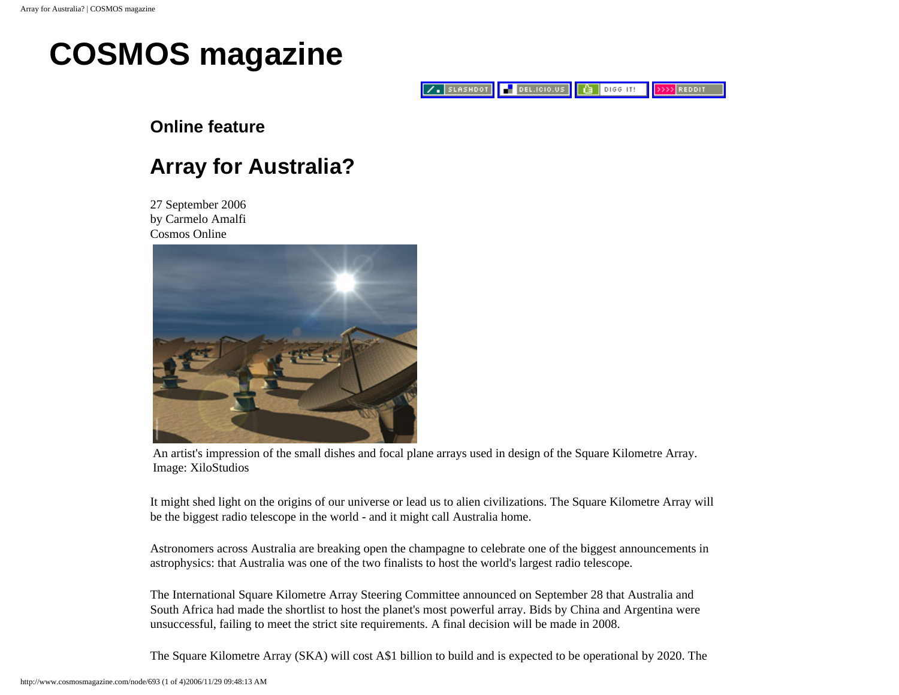## **COSMOS magazine**

 $Z$ . SLASHDOT DEL.ICIO.US  $\left| \begin{smallmatrix} 1 & 0 \\ 0 & 1 \end{smallmatrix} \right|$  Digg it! **>>>> REDDIT** 

### **Online feature**

### **Array for Australia?**

27 September 2006 by Carmelo Amalfi Cosmos Online



An artist's impression of the small dishes and focal plane arrays used in design of the Square Kilometre Array. Image: XiloStudios

It might shed light on the origins of our universe or lead us to alien civilizations. The Square Kilometre Array will be the biggest radio telescope in the world - and it might call Australia home.

Astronomers across Australia are breaking open the champagne to celebrate one of the biggest announcements in astrophysics: that Australia was one of the two finalists to host the world's largest radio telescope.

The International Square Kilometre Array Steering Committee announced on September 28 that Australia and South Africa had made the shortlist to host the planet's most powerful array. Bids by China and Argentina were unsuccessful, failing to meet the strict site requirements. A final decision will be made in 2008.

The Square Kilometre Array (SKA) will cost A\$1 billion to build and is expected to be operational by 2020. The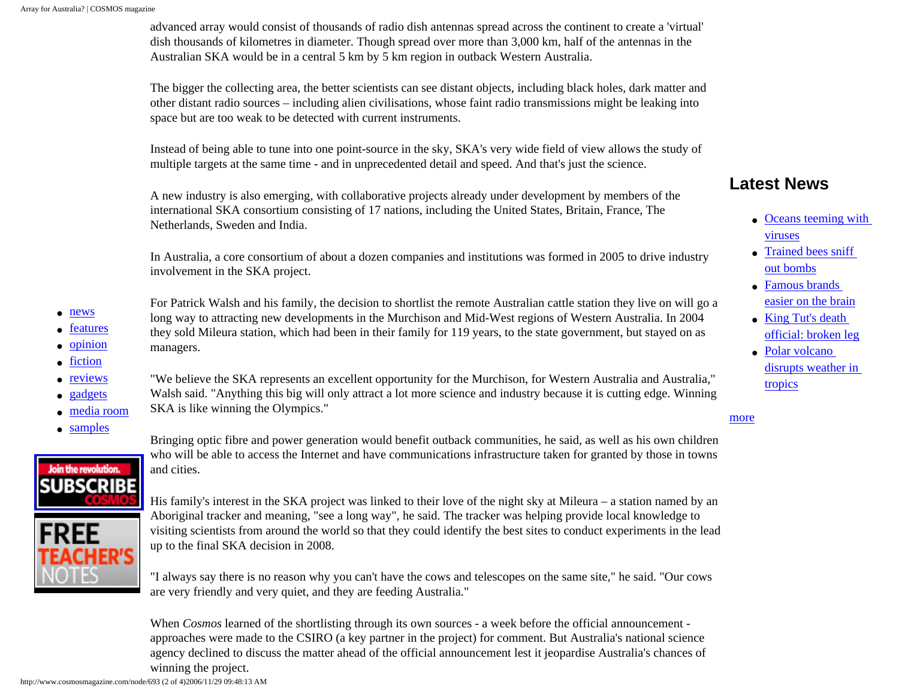advanced array would consist of thousands of radio dish antennas spread across the continent to create a 'virtual' dish thousands of kilometres in diameter. Though spread over more than 3,000 km, half of the antennas in the Australian SKA would be in a central 5 km by 5 km region in outback Western Australia.

The bigger the collecting area, the better scientists can see distant objects, including black holes, dark matter and other distant radio sources – including alien civilisations, whose faint radio transmissions might be leaking into space but are too weak to be detected with current instruments.

Instead of being able to tune into one point-source in the sky, SKA's very wide field of view allows the study of multiple targets at the same time - and in unprecedented detail and speed. And that's just the science.

A new industry is also emerging, with collaborative projects already under development by members of the international SKA consortium consisting of 17 nations, including the United States, Britain, France, The Netherlands, Sweden and India.

In Australia, a core consortium of about a dozen companies and institutions was formed in 2005 to drive industry involvement in the SKA project.

For Patrick Walsh and his family, the decision to shortlist the remote Australian cattle station they live on will go a long way to attracting new developments in the Murchison and Mid-West regions of Western Australia. In 2004 they sold Mileura station, which had been in their family for 119 years, to the state government, but stayed on as

"We believe the SKA represents an excellent opportunity for the Murchison, for Western Australia and Australia," Walsh said. "Anything this big will only attract a lot more science and industry because it is cutting edge. Winning

- [news](http://www.cosmosmagazine.com/news)
- [features](http://www.cosmosmagazine.com/features)
- [opinion](http://www.cosmosmagazine.com/opinion)
- [fiction](http://www.cosmosmagazine.com/fiction)
- [reviews](http://www.cosmosmagazine.com/reviews)
- [gadgets](http://www.cosmosmagazine.com/gadgets)
- [media room](http://www.cosmosmagazine.com/media)
- [samples](http://www.cosmosmagazine.com/samples)



Bringing optic fibre and power generation would benefit outback communities, he said, as well as his own children who will be able to access the Internet and have communications infrastructure taken for granted by those in towns and cities.

His family's interest in the SKA project was linked to their love of the night sky at Mileura – a station named by an Aboriginal tracker and meaning, "see a long way", he said. The tracker was helping provide local knowledge to visiting scientists from around the world so that they could identify the best sites to conduct experiments in the lead up to the final SKA decision in 2008.

"I always say there is no reason why you can't have the cows and telescopes on the same site," he said. "Our cows are very friendly and very quiet, and they are feeding Australia."

When *Cosmos* learned of the shortlisting through its own sources - a week before the official announcement approaches were made to the CSIRO (a key partner in the project) for comment. But Australia's national science agency declined to discuss the matter ahead of the official announcement lest it jeopardise Australia's chances of winning the project.

managers.

SKA is like winning the Olympics."

### **Latest News**

- [Oceans teeming with](http://www.cosmosmagazine.com/node/886) [viruses](http://www.cosmosmagazine.com/node/886)
- [Trained bees sniff](http://www.cosmosmagazine.com/node/884) [out bombs](http://www.cosmosmagazine.com/node/884)
- Famous brands [easier on the brain](http://www.cosmosmagazine.com/node/883)
- King Tut's death [official: broken leg](http://www.cosmosmagazine.com/node/882)
- [Polar volcano](http://www.cosmosmagazine.com/node/880)  [disrupts weather in](http://www.cosmosmagazine.com/node/880) [tropics](http://www.cosmosmagazine.com/node/880)

[more](http://www.cosmosmagazine.com/news)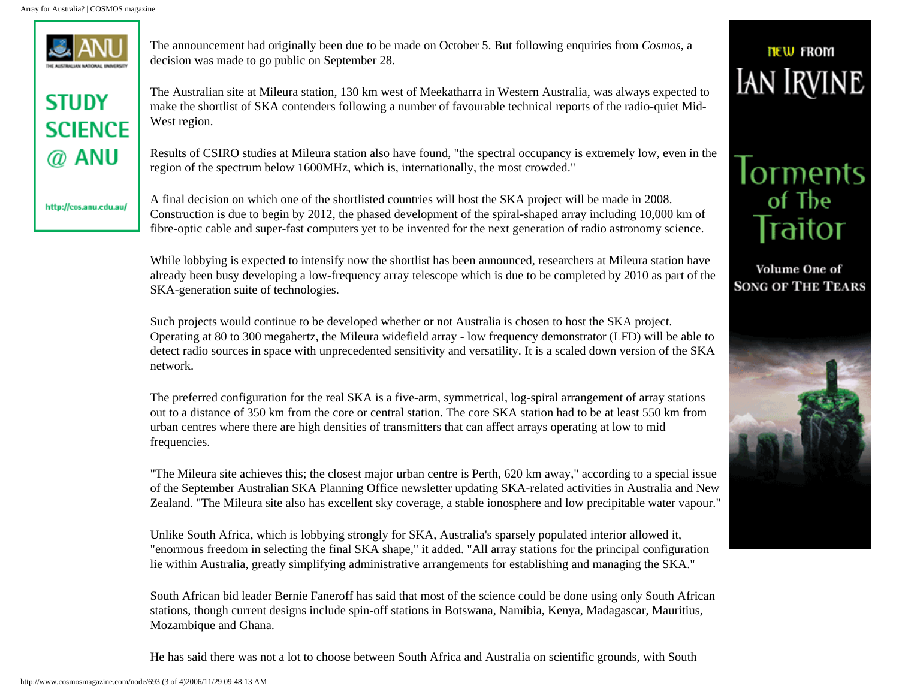

**STUDY SCIENCE**  $@$  anu

http://cos.anu.edu.au/

The announcement had originally been due to be made on October 5. But following enquiries from *Cosmos*, a decision was made to go public on September 28.

The Australian site at Mileura station, 130 km west of Meekatharra in Western Australia, was always expected to make the shortlist of SKA contenders following a number of favourable technical reports of the radio-quiet Mid-West region.

Results of CSIRO studies at Mileura station also have found, "the spectral occupancy is extremely low, even in the region of the spectrum below 1600MHz, which is, internationally, the most crowded."

A final decision on which one of the shortlisted countries will host the SKA project will be made in 2008. Construction is due to begin by 2012, the phased development of the spiral-shaped array including 10,000 km of fibre-optic cable and super-fast computers yet to be invented for the next generation of radio astronomy science.

While lobbying is expected to intensify now the shortlist has been announced, researchers at Mileura station have already been busy developing a low-frequency array telescope which is due to be completed by 2010 as part of the SKA-generation suite of technologies.

Such projects would continue to be developed whether or not Australia is chosen to host the SKA project. Operating at 80 to 300 megahertz, the Mileura widefield array - low frequency demonstrator (LFD) will be able to detect radio sources in space with unprecedented sensitivity and versatility. It is a scaled down version of the SKA network.

The preferred configuration for the real SKA is a five-arm, symmetrical, log-spiral arrangement of array stations out to a distance of 350 km from the core or central station. The core SKA station had to be at least 550 km from urban centres where there are high densities of transmitters that can affect arrays operating at low to mid frequencies.

"The Mileura site achieves this; the closest major urban centre is Perth, 620 km away," according to a special issue of the September Australian SKA Planning Office newsletter updating SKA-related activities in Australia and New Zealand. "The Mileura site also has excellent sky coverage, a stable ionosphere and low precipitable water vapour."

Unlike South Africa, which is lobbying strongly for SKA, Australia's sparsely populated interior allowed it, "enormous freedom in selecting the final SKA shape," it added. "All array stations for the principal configuration lie within Australia, greatly simplifying administrative arrangements for establishing and managing the SKA."

South African bid leader Bernie Faneroff has said that most of the science could be done using only South African stations, though current designs include spin-off stations in Botswana, Namibia, Kenya, Madagascar, Mauritius, Mozambique and Ghana.

He has said there was not a lot to choose between South Africa and Australia on scientific grounds, with South



**TIEW FROM IAN IRVINE** 

# **lorments**<br>of The Traitor

Volume One of